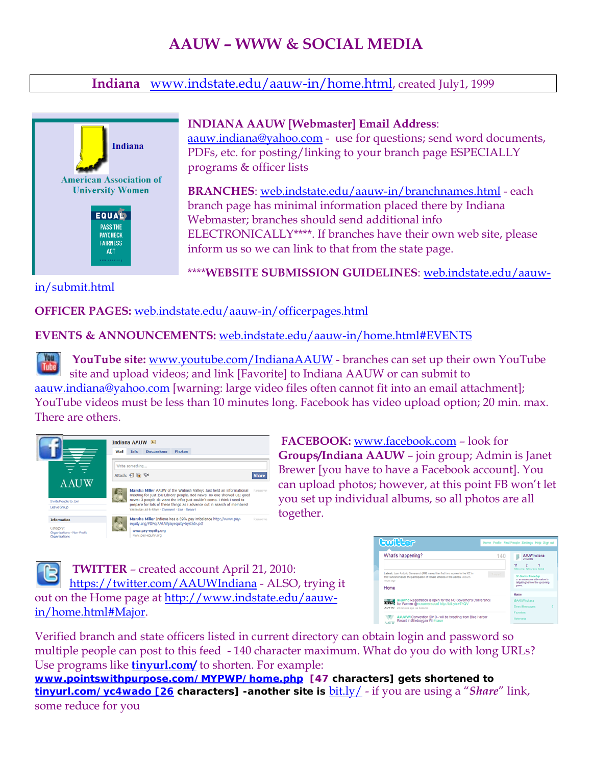# **AAUW – WWW & SOCIAL MEDIA**

### **Indiana** [www.indstate.edu/aauw-in/home.html](http://www.indstate.edu/aauw-in/home.html), created July1, 1999



[in/submit.html](http://web.indstate.edu/aauw-in/submit.html) 

#### **INDIANA AAUW [Webmaster] Email Address**:

[aauw.indiana@yahoo.com](mailto:aauw.indiana@yahoo.com) - use for questions; send word documents, PDFs, etc. for posting/linking to your branch page ESPECIALLY programs & officer lists

**BRANCHES**: [web.indstate.edu/aauw-in/branchnames.html](http://web.indstate.edu/aauw-in/branchnames.html) - each branch page has minimal information placed there by Indiana Webmaster; branches should send additional info ELECTRONICALLY\*\*\*\*. If branches have their own web site, please inform us so we can link to that from the state page.

\*\*\*\***WEBSITE SUBMISSION GUIDELINES**: [web.indstate.edu/aauw-](http://web.indstate.edu/aauw-in/submit.html)

#### **OFFICER PAGES:** [web.indstate.edu/aauw-in/officerpages.html](http://web.indstate.edu/aauw-in/officerpages.html)

#### **EVENTS & ANNOUNCEMENTS:** [web.indstate.edu/aauw-in/home.html#EVENTS](http://web.indstate.edu/aauw-in/home.html#EVENTS)

**Tribe YouTube site:** [www.youtube.com/IndianaAAUW](http://www.youtube.com/IndianaAAUW) - branches can set up their own YouTube site and upload videos; and link [Favorite] to Indiana AAUW or can submit to [aauw.indiana@yahoo.com](mailto:aauw.indiana@yahoo.com) [warning: large video files often cannot fit into an email attachment]; YouTube videos must be less than 10 minutes long. Facebook has video upload option; 20 min. max. There are others.



 **FACEBOOK:** [www.facebook.com](http://www.facebook.com/) – look for **Groups/Indiana AAUW** – join group; Admin is Janet Brewer [you have to have a Facebook account]. You can upload photos; however, at this point FB won't let you set up individual albums, so all photos are all together.



 **TWITTER** – created account April 21, 2010: <https://twitter.com/AAUWIndiana>- ALSO, trying it out on the Home page at [http://www.indstate.edu/aauw](http://www.indstate.edu/aauw-in/home.html#Major)[in/home.html#Major](http://www.indstate.edu/aauw-in/home.html#Major).

| <b>Ewiller</b>                                                                                                                                                                    | Home Profile Find People Settings Help Sign out                                                           |  |
|-----------------------------------------------------------------------------------------------------------------------------------------------------------------------------------|-----------------------------------------------------------------------------------------------------------|--|
| What's happening?                                                                                                                                                                 | 140<br><b>AAUWIndiana</b><br><b>3 houseke</b><br>17<br>following followers listed                         |  |
| Latest: Juan Antonio Samaranch (RP) named the first two women to the IOC in<br>1981 and increased the participation of female athletes in the Games. about 5<br>hours ago<br>Home | Tweet.<br><b>SF-Giants-Tweetup</b><br>n an awesome absmallue to<br>talgating before the upcoming<br>came. |  |
| aauwne Registration is open for the NC Governor's Conference<br><b>CUAL</b><br>for Women @ncwomensconf http://bit.ly/cw7NQV<br><b>WUW NC</b> 25 minutes ago via Seesmic           | Home<br><b>GAAUWindiana</b><br>Direct Messages                                                            |  |
| AAUWWI Convention 2010 - will be tweeting from Blue Harbor<br>Resort in Sheboygan WI #aauw<br><b>AAUW</b>                                                                         | Favorites<br>Retweets                                                                                     |  |

Verified branch and state officers listed in current directory can obtain login and password so multiple people can post to this feed - 140 character maximum. What do you do with long URLs? Use programs like **tinyurl.com/** to shorten. For example:

**[www.pointswithpurpose.com/MYPWP/home.php](http://www.pointswithpurpose.com/MYPWP/home.php) [47 characters] gets shortened to tinyurl.com/yc4wado [26 characters] -another site is** [bit.ly/](http://bit.ly/) - if you are using a "*Share*" link, some reduce for you